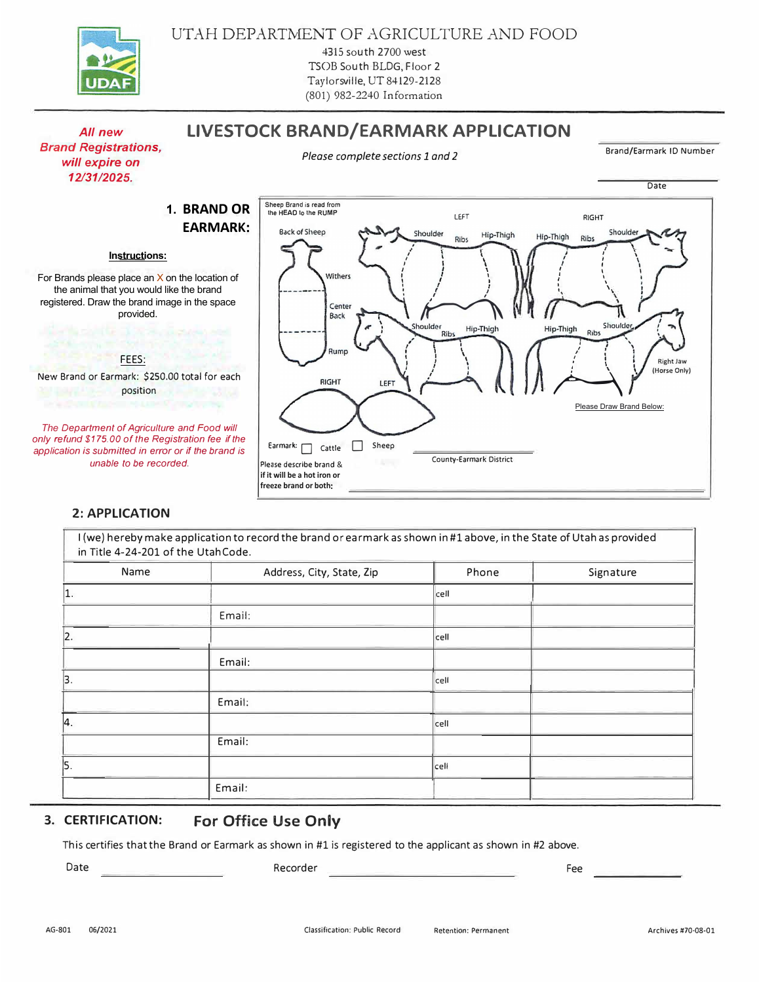

## **LIVESTOCK BRAND/EARMARK APPLICATION**

**Application of the State** 

**Please complete sections 1 and 2** Brand/Earmark ID Number

Date



New Brand or Earmark: \$250.00 total for each **position position** 

*The Department of Agriculture and Food will only refund \$175. 00 of the Registration fee if the application is submitted in error or if the brand is unable to be recorded.* 

## **2: APPLICATION**



| I (we) hereby make application to record the brand or earmark as shown in#1 above, in the State of Utahas provided<br>in Title 4-24-201 of the UtahCode. |                           |       |           |
|----------------------------------------------------------------------------------------------------------------------------------------------------------|---------------------------|-------|-----------|
| Name                                                                                                                                                     | Address, City, State, Zip | Phone | Signature |
| 1.                                                                                                                                                       |                           | cell  |           |
|                                                                                                                                                          | Email:                    |       |           |
| 2.                                                                                                                                                       |                           | cell  |           |
|                                                                                                                                                          | Email:                    |       |           |
| 3.                                                                                                                                                       |                           | cell  |           |
|                                                                                                                                                          | Email:                    |       |           |
| 4.                                                                                                                                                       |                           | cell  |           |
|                                                                                                                                                          | Email:                    |       |           |
| 5.                                                                                                                                                       |                           | cell  |           |
|                                                                                                                                                          | Email:                    |       |           |

## $\frac{2}{i}$ lB6B.)lBbT 6 b( m b $\left(\begin{array}{cc} 1 & 0 \\ 0 & \end{array}\right)$

lŚŝƐ( ĐĞƌƚŝĨŝĞƐ( ƚŚĂƚ( ƚŚĞ( .ƌĂŶĚ( Žƌ( 2ĂƌŵĂƌŬ(Ɛ(ŚŽǁŶ( ŝŶ( ηϭ( ŝƐ( ƌĞŐŝƐƚĞƌ Ě(ƚŽ( ƚŚĞ( ĂƉƉůŝĐĂŶƚ( ĂƐ( ƐŚŽǁŶ( ŝŶ ηϮ( ĂďŽǀĞ͘(

Date

Recorder

 $6\degree$